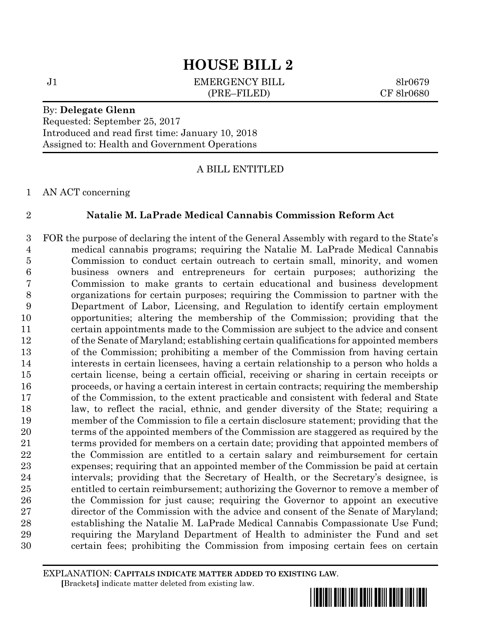J1 **EMERGENCY BILL** 8lr0679 (PRE–FILED) CF 8lr0680

### By: **Delegate Glenn**

Requested: September 25, 2017 Introduced and read first time: January 10, 2018 Assigned to: Health and Government Operations

### A BILL ENTITLED

AN ACT concerning

### **Natalie M. LaPrade Medical Cannabis Commission Reform Act**

 FOR the purpose of declaring the intent of the General Assembly with regard to the State's medical cannabis programs; requiring the Natalie M. LaPrade Medical Cannabis Commission to conduct certain outreach to certain small, minority, and women business owners and entrepreneurs for certain purposes; authorizing the Commission to make grants to certain educational and business development organizations for certain purposes; requiring the Commission to partner with the Department of Labor, Licensing, and Regulation to identify certain employment opportunities; altering the membership of the Commission; providing that the certain appointments made to the Commission are subject to the advice and consent of the Senate of Maryland; establishing certain qualifications for appointed members of the Commission; prohibiting a member of the Commission from having certain interests in certain licensees, having a certain relationship to a person who holds a certain license, being a certain official, receiving or sharing in certain receipts or proceeds, or having a certain interest in certain contracts; requiring the membership of the Commission, to the extent practicable and consistent with federal and State law, to reflect the racial, ethnic, and gender diversity of the State; requiring a member of the Commission to file a certain disclosure statement; providing that the terms of the appointed members of the Commission are staggered as required by the terms provided for members on a certain date; providing that appointed members of the Commission are entitled to a certain salary and reimbursement for certain expenses; requiring that an appointed member of the Commission be paid at certain intervals; providing that the Secretary of Health, or the Secretary's designee, is entitled to certain reimbursement; authorizing the Governor to remove a member of the Commission for just cause; requiring the Governor to appoint an executive director of the Commission with the advice and consent of the Senate of Maryland; establishing the Natalie M. LaPrade Medical Cannabis Compassionate Use Fund; requiring the Maryland Department of Health to administer the Fund and set certain fees; prohibiting the Commission from imposing certain fees on certain

EXPLANATION: **CAPITALS INDICATE MATTER ADDED TO EXISTING LAW**.  **[**Brackets**]** indicate matter deleted from existing law.

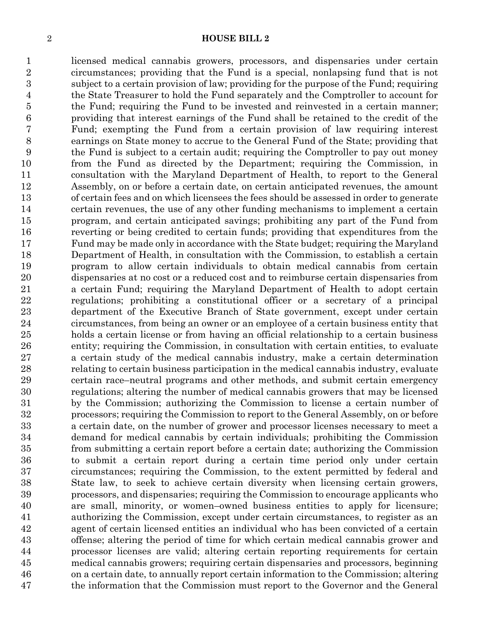licensed medical cannabis growers, processors, and dispensaries under certain circumstances; providing that the Fund is a special, nonlapsing fund that is not subject to a certain provision of law; providing for the purpose of the Fund; requiring the State Treasurer to hold the Fund separately and the Comptroller to account for the Fund; requiring the Fund to be invested and reinvested in a certain manner; providing that interest earnings of the Fund shall be retained to the credit of the Fund; exempting the Fund from a certain provision of law requiring interest earnings on State money to accrue to the General Fund of the State; providing that the Fund is subject to a certain audit; requiring the Comptroller to pay out money from the Fund as directed by the Department; requiring the Commission, in consultation with the Maryland Department of Health, to report to the General Assembly, on or before a certain date, on certain anticipated revenues, the amount of certain fees and on which licensees the fees should be assessed in order to generate certain revenues, the use of any other funding mechanisms to implement a certain program, and certain anticipated savings; prohibiting any part of the Fund from reverting or being credited to certain funds; providing that expenditures from the Fund may be made only in accordance with the State budget; requiring the Maryland Department of Health, in consultation with the Commission, to establish a certain program to allow certain individuals to obtain medical cannabis from certain dispensaries at no cost or a reduced cost and to reimburse certain dispensaries from a certain Fund; requiring the Maryland Department of Health to adopt certain regulations; prohibiting a constitutional officer or a secretary of a principal department of the Executive Branch of State government, except under certain circumstances, from being an owner or an employee of a certain business entity that holds a certain license or from having an official relationship to a certain business entity; requiring the Commission, in consultation with certain entities, to evaluate a certain study of the medical cannabis industry, make a certain determination relating to certain business participation in the medical cannabis industry, evaluate certain race–neutral programs and other methods, and submit certain emergency regulations; altering the number of medical cannabis growers that may be licensed by the Commission; authorizing the Commission to license a certain number of processors; requiring the Commission to report to the General Assembly, on or before a certain date, on the number of grower and processor licenses necessary to meet a demand for medical cannabis by certain individuals; prohibiting the Commission from submitting a certain report before a certain date; authorizing the Commission to submit a certain report during a certain time period only under certain circumstances; requiring the Commission, to the extent permitted by federal and State law, to seek to achieve certain diversity when licensing certain growers, processors, and dispensaries; requiring the Commission to encourage applicants who are small, minority, or women–owned business entities to apply for licensure; authorizing the Commission, except under certain circumstances, to register as an agent of certain licensed entities an individual who has been convicted of a certain offense; altering the period of time for which certain medical cannabis grower and processor licenses are valid; altering certain reporting requirements for certain medical cannabis growers; requiring certain dispensaries and processors, beginning on a certain date, to annually report certain information to the Commission; altering the information that the Commission must report to the Governor and the General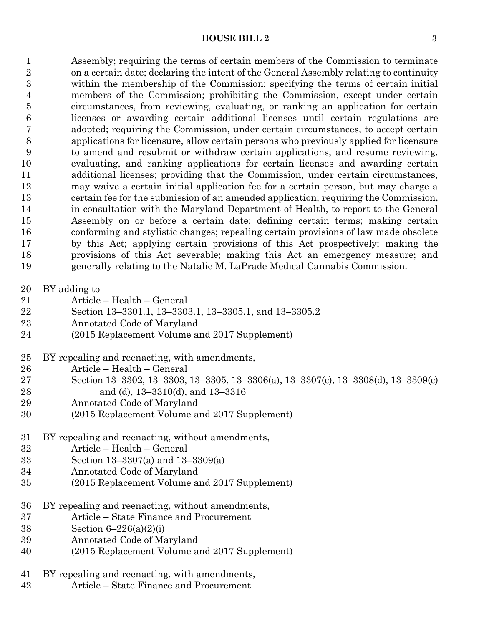Assembly; requiring the terms of certain members of the Commission to terminate on a certain date; declaring the intent of the General Assembly relating to continuity within the membership of the Commission; specifying the terms of certain initial members of the Commission; prohibiting the Commission, except under certain circumstances, from reviewing, evaluating, or ranking an application for certain licenses or awarding certain additional licenses until certain regulations are adopted; requiring the Commission, under certain circumstances, to accept certain applications for licensure, allow certain persons who previously applied for licensure to amend and resubmit or withdraw certain applications, and resume reviewing, evaluating, and ranking applications for certain licenses and awarding certain additional licenses; providing that the Commission, under certain circumstances, may waive a certain initial application fee for a certain person, but may charge a certain fee for the submission of an amended application; requiring the Commission, in consultation with the Maryland Department of Health, to report to the General Assembly on or before a certain date; defining certain terms; making certain conforming and stylistic changes; repealing certain provisions of law made obsolete by this Act; applying certain provisions of this Act prospectively; making the provisions of this Act severable; making this Act an emergency measure; and generally relating to the Natalie M. LaPrade Medical Cannabis Commission.

- BY adding to
- Article Health General
- Section 13–3301.1, 13–3303.1, 13–3305.1, and 13–3305.2
- Annotated Code of Maryland
- (2015 Replacement Volume and 2017 Supplement)
- BY repealing and reenacting, with amendments,
- Article Health General
- Section 13–3302, 13–3303, 13–3305, 13–3306(a), 13–3307(c), 13–3308(d), 13–3309(c) and (d), 13–3310(d), and 13–3316
- Annotated Code of Maryland
- (2015 Replacement Volume and 2017 Supplement)
- BY repealing and reenacting, without amendments,
- Article Health General
- Section 13–3307(a) and 13–3309(a)
- Annotated Code of Maryland
- (2015 Replacement Volume and 2017 Supplement)
- BY repealing and reenacting, without amendments,
- Article State Finance and Procurement
- Section 6–226(a)(2)(i)
- Annotated Code of Maryland
- (2015 Replacement Volume and 2017 Supplement)
- BY repealing and reenacting, with amendments,
- Article State Finance and Procurement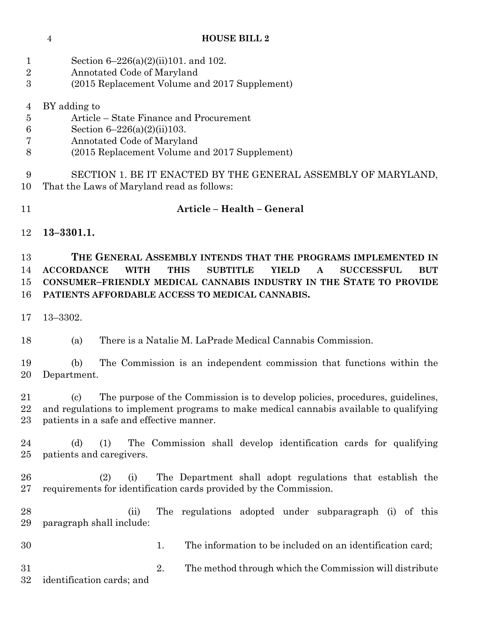- Section 6–226(a)(2)(ii)101. and 102.
- Annotated Code of Maryland
- (2015 Replacement Volume and 2017 Supplement)
- BY adding to
- Article State Finance and Procurement
- Section 6–226(a)(2)(ii)103.
- Annotated Code of Maryland
- (2015 Replacement Volume and 2017 Supplement)

 SECTION 1. BE IT ENACTED BY THE GENERAL ASSEMBLY OF MARYLAND, That the Laws of Maryland read as follows:

- **Article – Health – General**
- **13–3301.1.**

 **THE GENERAL ASSEMBLY INTENDS THAT THE PROGRAMS IMPLEMENTED IN ACCORDANCE WITH THIS SUBTITLE YIELD A SUCCESSFUL BUT CONSUMER–FRIENDLY MEDICAL CANNABIS INDUSTRY IN THE STATE TO PROVIDE PATIENTS AFFORDABLE ACCESS TO MEDICAL CANNABIS.**

13–3302.

(a) There is a Natalie M. LaPrade Medical Cannabis Commission.

 (b) The Commission is an independent commission that functions within the Department.

 (c) The purpose of the Commission is to develop policies, procedures, guidelines, and regulations to implement programs to make medical cannabis available to qualifying patients in a safe and effective manner.

 (d) (1) The Commission shall develop identification cards for qualifying patients and caregivers.

 (2) (i) The Department shall adopt regulations that establish the requirements for identification cards provided by the Commission.

 (ii) The regulations adopted under subparagraph (i) of this paragraph shall include:

1. The information to be included on an identification card;

 2. The method through which the Commission will distribute identification cards; and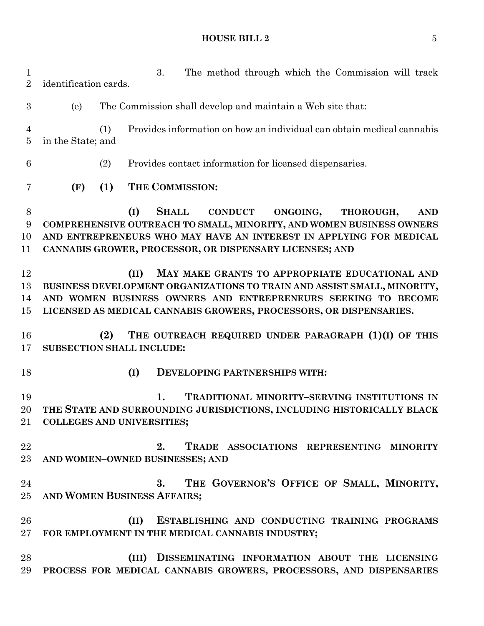| $\mathbf 1$<br>$\overline{2}$ | identification cards.                                                                                                                                                                                                                                                                 |                                                                                                   |      | The method through which the Commission will track<br>3.                                                                                                                                                                                                         |  |
|-------------------------------|---------------------------------------------------------------------------------------------------------------------------------------------------------------------------------------------------------------------------------------------------------------------------------------|---------------------------------------------------------------------------------------------------|------|------------------------------------------------------------------------------------------------------------------------------------------------------------------------------------------------------------------------------------------------------------------|--|
| 3                             | (e)                                                                                                                                                                                                                                                                                   | The Commission shall develop and maintain a Web site that:                                        |      |                                                                                                                                                                                                                                                                  |  |
| 4<br>$\overline{5}$           |                                                                                                                                                                                                                                                                                       | Provides information on how an individual can obtain medical cannabis<br>(1)<br>in the State; and |      |                                                                                                                                                                                                                                                                  |  |
| 6                             |                                                                                                                                                                                                                                                                                       | (2)<br>Provides contact information for licensed dispensaries.                                    |      |                                                                                                                                                                                                                                                                  |  |
| 7                             | (F)                                                                                                                                                                                                                                                                                   | (1)                                                                                               |      | THE COMMISSION:                                                                                                                                                                                                                                                  |  |
| $8\,$<br>9<br>10<br>11        | (I)<br><b>SHALL</b><br><b>CONDUCT</b><br>ONGOING,<br>THOROUGH,<br><b>AND</b><br>COMPREHENSIVE OUTREACH TO SMALL, MINORITY, AND WOMEN BUSINESS OWNERS<br>AND ENTREPRENEURS WHO MAY HAVE AN INTEREST IN APPLYING FOR MEDICAL<br>CANNABIS GROWER, PROCESSOR, OR DISPENSARY LICENSES; AND |                                                                                                   |      |                                                                                                                                                                                                                                                                  |  |
| 12<br>13<br>14<br>15          |                                                                                                                                                                                                                                                                                       |                                                                                                   | (II) | MAY MAKE GRANTS TO APPROPRIATE EDUCATIONAL AND<br>BUSINESS DEVELOPMENT ORGANIZATIONS TO TRAIN AND ASSIST SMALL, MINORITY,<br>AND WOMEN BUSINESS OWNERS AND ENTREPRENEURS SEEKING TO BECOME<br>LICENSED AS MEDICAL CANNABIS GROWERS, PROCESSORS, OR DISPENSARIES. |  |
| 16<br>17                      | <b>SUBSECTION SHALL INCLUDE:</b>                                                                                                                                                                                                                                                      | (2)                                                                                               |      | THE OUTREACH REQUIRED UNDER PARAGRAPH (1)(I) OF THIS                                                                                                                                                                                                             |  |
| 18                            |                                                                                                                                                                                                                                                                                       |                                                                                                   | (I)  | DEVELOPING PARTNERSHIPS WITH:                                                                                                                                                                                                                                    |  |
| 19<br>20                      | 21 COLLEGES AND UNIVERSITIES;                                                                                                                                                                                                                                                         |                                                                                                   |      | 1.<br>TRADITIONAL MINORITY-SERVING INSTITUTIONS IN<br>THE STATE AND SURROUNDING JURISDICTIONS, INCLUDING HISTORICALLY BLACK                                                                                                                                      |  |
| 22<br>$23\,$                  |                                                                                                                                                                                                                                                                                       |                                                                                                   |      | 2.<br>TRADE ASSOCIATIONS REPRESENTING MINORITY<br>AND WOMEN-OWNED BUSINESSES; AND                                                                                                                                                                                |  |
| 24<br>25 <sub>1</sub>         | AND WOMEN BUSINESS AFFAIRS;                                                                                                                                                                                                                                                           |                                                                                                   |      | THE GOVERNOR'S OFFICE OF SMALL, MINORITY,<br>3.                                                                                                                                                                                                                  |  |
| 26<br>$27\,$                  |                                                                                                                                                                                                                                                                                       |                                                                                                   | (II) | ESTABLISHING AND CONDUCTING TRAINING PROGRAMS<br>FOR EMPLOYMENT IN THE MEDICAL CANNABIS INDUSTRY;                                                                                                                                                                |  |
| 28<br>29                      |                                                                                                                                                                                                                                                                                       |                                                                                                   |      | (III) DISSEMINATING INFORMATION ABOUT THE LICENSING<br>PROCESS FOR MEDICAL CANNABIS GROWERS, PROCESSORS, AND DISPENSARIES                                                                                                                                        |  |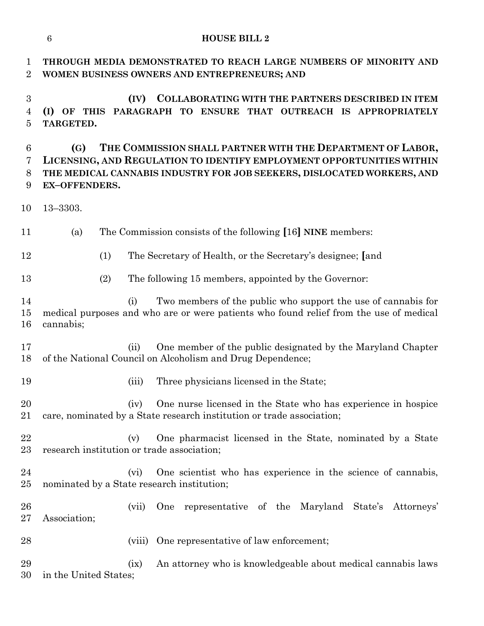| 1<br>$\overline{2}$                                  | THROUGH MEDIA DEMONSTRATED TO REACH LARGE NUMBERS OF MINORITY AND<br>WOMEN BUSINESS OWNERS AND ENTREPRENEURS; AND                                                                                                                            |  |  |  |  |
|------------------------------------------------------|----------------------------------------------------------------------------------------------------------------------------------------------------------------------------------------------------------------------------------------------|--|--|--|--|
| $\boldsymbol{3}$<br>$\overline{4}$<br>$\overline{5}$ | <b>COLLABORATING WITH THE PARTNERS DESCRIBED IN ITEM</b><br>(IV)<br>(I) OF THIS PARAGRAPH TO ENSURE THAT OUTREACH IS APPROPRIATELY<br>TARGETED.                                                                                              |  |  |  |  |
| $6\phantom{.}6$<br>7<br>8<br>9                       | THE COMMISSION SHALL PARTNER WITH THE DEPARTMENT OF LABOR,<br>(G)<br>LICENSING, AND REGULATION TO IDENTIFY EMPLOYMENT OPPORTUNITIES WITHIN<br>THE MEDICAL CANNABIS INDUSTRY FOR JOB SEEKERS, DISLOCATED WORKERS, AND<br><b>EX-OFFENDERS.</b> |  |  |  |  |
| 10                                                   | $13 - 3303.$                                                                                                                                                                                                                                 |  |  |  |  |
| 11                                                   | The Commission consists of the following [16] NINE members:<br>(a)                                                                                                                                                                           |  |  |  |  |
| 12                                                   | (1)<br>The Secretary of Health, or the Secretary's designee; [and                                                                                                                                                                            |  |  |  |  |
| 13                                                   | (2)<br>The following 15 members, appointed by the Governor:                                                                                                                                                                                  |  |  |  |  |
| 14<br>15<br>16                                       | Two members of the public who support the use of cannabis for<br>(i)<br>medical purposes and who are or were patients who found relief from the use of medical<br>cannabis;                                                                  |  |  |  |  |
| 17<br>18                                             | One member of the public designated by the Maryland Chapter<br>(ii)<br>of the National Council on Alcoholism and Drug Dependence;                                                                                                            |  |  |  |  |
| 19                                                   | Three physicians licensed in the State;<br>(iii)                                                                                                                                                                                             |  |  |  |  |
| 20<br>21                                             | One nurse licensed in the State who has experience in hospice<br>(iv)<br>care, nominated by a State research institution or trade association;                                                                                               |  |  |  |  |
| 22<br>23                                             | One pharmacist licensed in the State, nominated by a State<br>(v)<br>research institution or trade association;                                                                                                                              |  |  |  |  |
| 24<br>25                                             | One scientist who has experience in the science of cannabis,<br>$(v_i)$<br>nominated by a State research institution;                                                                                                                        |  |  |  |  |
| 26<br>27                                             | One representative of the Maryland State's Attorneys'<br>(vii)<br>Association;                                                                                                                                                               |  |  |  |  |
| 28                                                   | One representative of law enforcement;<br>(viii)                                                                                                                                                                                             |  |  |  |  |
| 29<br>30                                             | An attorney who is knowledgeable about medical cannabis laws<br>(ix)<br>in the United States;                                                                                                                                                |  |  |  |  |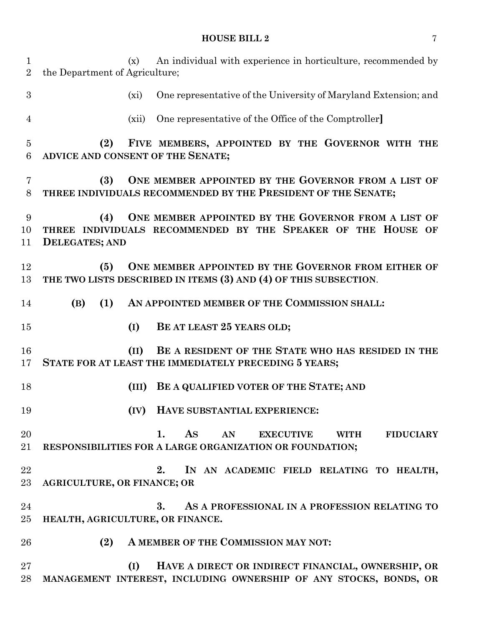(x) An individual with experience in horticulture, recommended by the Department of Agriculture; (xi) One representative of the University of Maryland Extension; and (xii) One representative of the Office of the Comptroller**] (2) FIVE MEMBERS, APPOINTED BY THE GOVERNOR WITH THE ADVICE AND CONSENT OF THE SENATE; (3) ONE MEMBER APPOINTED BY THE GOVERNOR FROM A LIST OF THREE INDIVIDUALS RECOMMENDED BY THE PRESIDENT OF THE SENATE; (4) ONE MEMBER APPOINTED BY THE GOVERNOR FROM A LIST OF THREE INDIVIDUALS RECOMMENDED BY THE SPEAKER OF THE HOUSE OF DELEGATES; AND (5) ONE MEMBER APPOINTED BY THE GOVERNOR FROM EITHER OF THE TWO LISTS DESCRIBED IN ITEMS (3) AND (4) OF THIS SUBSECTION**. **(B) (1) AN APPOINTED MEMBER OF THE COMMISSION SHALL: (I) BE AT LEAST 25 YEARS OLD; (II) BE A RESIDENT OF THE STATE WHO HAS RESIDED IN THE STATE FOR AT LEAST THE IMMEDIATELY PRECEDING 5 YEARS; (III) BE A QUALIFIED VOTER OF THE STATE; AND (IV) HAVE SUBSTANTIAL EXPERIENCE: 1. AS AN EXECUTIVE WITH FIDUCIARY RESPONSIBILITIES FOR A LARGE ORGANIZATION OR FOUNDATION; 2. IN AN ACADEMIC FIELD RELATING TO HEALTH, AGRICULTURE, OR FINANCE; OR 3. AS A PROFESSIONAL IN A PROFESSION RELATING TO HEALTH, AGRICULTURE, OR FINANCE. (2) A MEMBER OF THE COMMISSION MAY NOT: (I) HAVE A DIRECT OR INDIRECT FINANCIAL, OWNERSHIP, OR MANAGEMENT INTEREST, INCLUDING OWNERSHIP OF ANY STOCKS, BONDS, OR**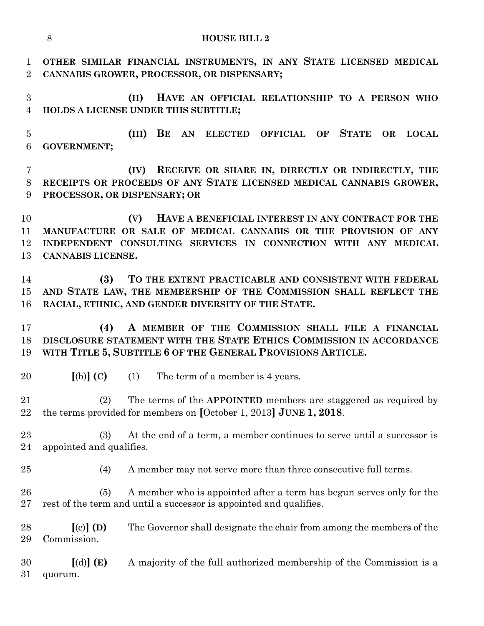|                                | 8<br><b>HOUSE BILL 2</b>                                                                                                                                                                                            |  |  |  |  |  |  |
|--------------------------------|---------------------------------------------------------------------------------------------------------------------------------------------------------------------------------------------------------------------|--|--|--|--|--|--|
| $\mathbf{1}$<br>$\overline{2}$ | OTHER SIMILAR FINANCIAL INSTRUMENTS, IN ANY STATE LICENSED MEDICAL<br>CANNABIS GROWER, PROCESSOR, OR DISPENSARY;                                                                                                    |  |  |  |  |  |  |
| 3<br>$\overline{4}$            | HAVE AN OFFICIAL RELATIONSHIP TO A PERSON WHO<br>(II)<br>HOLDS A LICENSE UNDER THIS SUBTITLE;                                                                                                                       |  |  |  |  |  |  |
| $\overline{5}$<br>6            | BE AN ELECTED OFFICIAL OF STATE<br>(III)<br>OR<br>$_{\rm LOCAL}$<br><b>GOVERNMENT;</b>                                                                                                                              |  |  |  |  |  |  |
| $\overline{7}$<br>8<br>9       | RECEIVE OR SHARE IN, DIRECTLY OR INDIRECTLY, THE<br>(IV)<br>RECEIPTS OR PROCEEDS OF ANY STATE LICENSED MEDICAL CANNABIS GROWER,<br>PROCESSOR, OR DISPENSARY; OR                                                     |  |  |  |  |  |  |
| 10<br>11<br>12<br>13           | HAVE A BENEFICIAL INTEREST IN ANY CONTRACT FOR THE<br>(V)<br>MANUFACTURE OR SALE OF MEDICAL CANNABIS OR THE PROVISION OF ANY<br>INDEPENDENT CONSULTING SERVICES IN CONNECTION WITH ANY MEDICAL<br>CANNABIS LICENSE. |  |  |  |  |  |  |
| 14<br>15<br>16                 | TO THE EXTENT PRACTICABLE AND CONSISTENT WITH FEDERAL<br>(3)<br>AND STATE LAW, THE MEMBERSHIP OF THE COMMISSION SHALL REFLECT THE<br>RACIAL, ETHNIC, AND GENDER DIVERSITY OF THE STATE.                             |  |  |  |  |  |  |
| 17<br>18<br>19                 | A MEMBER OF THE COMMISSION SHALL FILE A FINANCIAL<br>(4)<br>DISCLOSURE STATEMENT WITH THE STATE ETHICS COMMISSION IN ACCORDANCE<br>WITH TITLE 5, SUBTITLE 6 OF THE GENERAL PROVISIONS ARTICLE.                      |  |  |  |  |  |  |
| $20\,$                         | $[(b)]$ $(C)$<br>The term of a member is 4 years.<br>(1)                                                                                                                                                            |  |  |  |  |  |  |
| 21<br>22                       | The terms of the APPOINTED members are staggered as required by<br>(2)<br>the terms provided for members on $[October 1, 2013]$ JUNE 1, 2018.                                                                       |  |  |  |  |  |  |
| $23\,$<br>24                   | At the end of a term, a member continues to serve until a successor is<br>(3)<br>appointed and qualifies.                                                                                                           |  |  |  |  |  |  |
| $25\,$                         | A member may not serve more than three consecutive full terms.<br>(4)                                                                                                                                               |  |  |  |  |  |  |
| $26\,$<br>$27\,$               | A member who is appointed after a term has begun serves only for the<br>(5)<br>rest of the term and until a successor is appointed and qualifies.                                                                   |  |  |  |  |  |  |
| 28<br>29                       | $[(c)]$ (D)<br>The Governor shall designate the chair from among the members of the<br>Commission.                                                                                                                  |  |  |  |  |  |  |
| 30<br>$31\,$                   | $[(d)]$ (E)<br>A majority of the full authorized membership of the Commission is a<br>quorum.                                                                                                                       |  |  |  |  |  |  |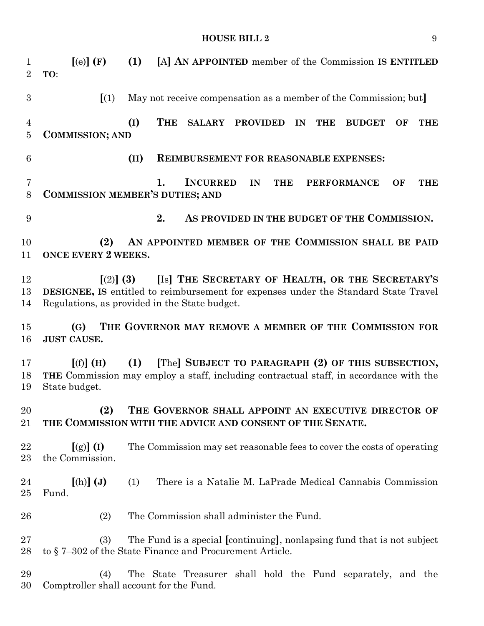| $\mathbf 1$<br>$\overline{2}$    | [(e)](F)<br>(1)<br>[A] AN APPOINTED member of the Commission IS ENTITLED<br>TO:                                                                                                                       |  |  |  |
|----------------------------------|-------------------------------------------------------------------------------------------------------------------------------------------------------------------------------------------------------|--|--|--|
| $\boldsymbol{3}$                 | $\left[ \begin{array}{c} 1 \end{array} \right]$<br>May not receive compensation as a member of the Commission; but                                                                                    |  |  |  |
| $\overline{4}$<br>$\overline{5}$ | (I)<br><b>THE</b><br>SALARY PROVIDED<br>IN<br><b>BUDGET</b><br>OF<br><b>THE</b><br><b>THE</b><br><b>COMMISSION; AND</b>                                                                               |  |  |  |
| $6\phantom{.}6$                  | (II)<br><b>REIMBURSEMENT FOR REASONABLE EXPENSES:</b>                                                                                                                                                 |  |  |  |
| $\overline{7}$<br>8              | <b>INCURRED</b><br>1.<br>IN<br><b>THE</b><br><b>PERFORMANCE</b><br>OF<br><b>THE</b><br><b>COMMISSION MEMBER'S DUTIES; AND</b>                                                                         |  |  |  |
| 9                                | 2.<br>AS PROVIDED IN THE BUDGET OF THE COMMISSION.                                                                                                                                                    |  |  |  |
| 10<br>11                         | AN APPOINTED MEMBER OF THE COMMISSION SHALL BE PAID<br>(2)<br><b>ONCE EVERY 2 WEEKS.</b>                                                                                                              |  |  |  |
| 12<br>13<br>14                   | [Is] THE SECRETARY OF HEALTH, OR THE SECRETARY'S<br>$(2)$ (3)<br>DESIGNEE, IS entitled to reimbursement for expenses under the Standard State Travel<br>Regulations, as provided in the State budget. |  |  |  |
| 15<br>16                         | THE GOVERNOR MAY REMOVE A MEMBER OF THE COMMISSION FOR<br>(G)<br><b>JUST CAUSE.</b>                                                                                                                   |  |  |  |
| 17<br>18<br>19                   | [The] SUBJECT TO PARAGRAPH (2) OF THIS SUBSECTION,<br>[(f)] (H)<br>(1)<br>THE Commission may employ a staff, including contractual staff, in accordance with the<br>State budget.                     |  |  |  |
| 20<br>21                         | (2)<br>THE GOVERNOR SHALL APPOINT AN EXECUTIVE DIRECTOR OF<br>THE COMMISSION WITH THE ADVICE AND CONSENT OF THE SENATE.                                                                               |  |  |  |
| 22<br>23                         | The Commission may set reasonable fees to cover the costs of operating<br>$[(g)]$ (I)<br>the Commission.                                                                                              |  |  |  |
| 24<br>25                         | $[(h)]$ (J)<br>There is a Natalie M. LaPrade Medical Cannabis Commission<br>(1)<br>Fund.                                                                                                              |  |  |  |
| ${\bf 26}$                       | (2)<br>The Commission shall administer the Fund.                                                                                                                                                      |  |  |  |
| 27<br>28                         | The Fund is a special [continuing], nonlapsing fund that is not subject<br>(3)<br>to §7-302 of the State Finance and Procurement Article.                                                             |  |  |  |
| 29<br>30                         | The State Treasurer shall hold the Fund separately, and the<br>(4)<br>Comptroller shall account for the Fund.                                                                                         |  |  |  |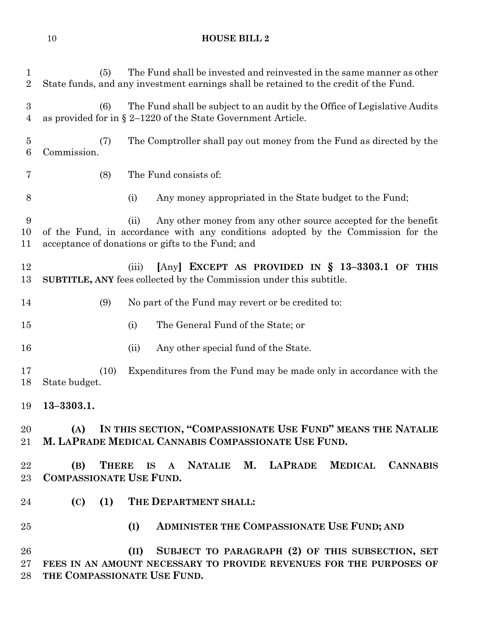| $\mathbf{1}$<br>$\overline{2}$     | The Fund shall be invested and reinvested in the same manner as other<br>(5)<br>State funds, and any investment earnings shall be retained to the credit of the Fund.                                           |  |  |  |  |
|------------------------------------|-----------------------------------------------------------------------------------------------------------------------------------------------------------------------------------------------------------------|--|--|--|--|
| $\boldsymbol{3}$<br>$\overline{4}$ | (6)<br>The Fund shall be subject to an audit by the Office of Legislative Audits<br>as provided for in $\S 2$ –1220 of the State Government Article.                                                            |  |  |  |  |
| $\bf{5}$<br>$\,6$                  | The Comptroller shall pay out money from the Fund as directed by the<br>(7)<br>Commission.                                                                                                                      |  |  |  |  |
| 7                                  | The Fund consists of:<br>(8)                                                                                                                                                                                    |  |  |  |  |
| 8                                  | Any money appropriated in the State budget to the Fund;<br>(i)                                                                                                                                                  |  |  |  |  |
| 9<br>10<br>11                      | Any other money from any other source accepted for the benefit<br>(ii)<br>of the Fund, in accordance with any conditions adopted by the Commission for the<br>acceptance of donations or gifts to the Fund; and |  |  |  |  |
| 12<br>13                           | [Any] EXCEPT AS PROVIDED IN $\S$ 13-3303.1 OF THIS<br>(iii)<br><b>SUBTITLE, ANY</b> fees collected by the Commission under this subtitle.                                                                       |  |  |  |  |
| 14                                 | No part of the Fund may revert or be credited to:<br>(9)                                                                                                                                                        |  |  |  |  |
| 15                                 | The General Fund of the State; or<br>(i)                                                                                                                                                                        |  |  |  |  |
| 16                                 | Any other special fund of the State.<br>(ii)                                                                                                                                                                    |  |  |  |  |
| 17<br>18                           | (10)<br>Expenditures from the Fund may be made only in accordance with the<br>State budget.                                                                                                                     |  |  |  |  |
| 19                                 | $13 - 3303.1.$                                                                                                                                                                                                  |  |  |  |  |
| 20<br>21                           | (A) IN THIS SECTION, "COMPASSIONATE USE FUND" MEANS THE NATALIE<br>M. LAPRADE MEDICAL CANNABIS COMPASSIONATE USE FUND.                                                                                          |  |  |  |  |
| 22<br>23                           | THERE IS A NATALIE M. LAPRADE MEDICAL CANNABIS<br>(B)<br><b>COMPASSIONATE USE FUND.</b>                                                                                                                         |  |  |  |  |
| 24                                 | (C)<br>(1) THE DEPARTMENT SHALL:                                                                                                                                                                                |  |  |  |  |
| 25                                 | ADMINISTER THE COMPASSIONATE USE FUND; AND<br>(I)                                                                                                                                                               |  |  |  |  |
| 26<br>27<br>28                     | SUBJECT TO PARAGRAPH (2) OF THIS SUBSECTION, SET<br>(II)<br>FEES IN AN AMOUNT NECESSARY TO PROVIDE REVENUES FOR THE PURPOSES OF<br>THE COMPASSIONATE USE FUND.                                                  |  |  |  |  |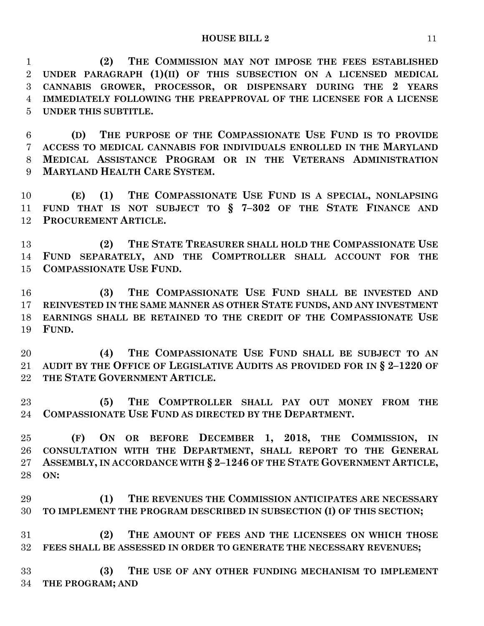**(2) THE COMMISSION MAY NOT IMPOSE THE FEES ESTABLISHED UNDER PARAGRAPH (1)(II) OF THIS SUBSECTION ON A LICENSED MEDICAL CANNABIS GROWER, PROCESSOR, OR DISPENSARY DURING THE 2 YEARS IMMEDIATELY FOLLOWING THE PREAPPROVAL OF THE LICENSEE FOR A LICENSE UNDER THIS SUBTITLE.**

 **(D) THE PURPOSE OF THE COMPASSIONATE USE FUND IS TO PROVIDE ACCESS TO MEDICAL CANNABIS FOR INDIVIDUALS ENROLLED IN THE MARYLAND MEDICAL ASSISTANCE PROGRAM OR IN THE VETERANS ADMINISTRATION MARYLAND HEALTH CARE SYSTEM.**

**(E) (1) THE COMPASSIONATE USE FUND IS A SPECIAL, NONLAPSING FUND THAT IS NOT SUBJECT TO § 7–302 OF THE STATE FINANCE AND PROCUREMENT ARTICLE.**

 **(2) THE STATE TREASURER SHALL HOLD THE COMPASSIONATE USE FUND SEPARATELY, AND THE COMPTROLLER SHALL ACCOUNT FOR THE COMPASSIONATE USE FUND.**

16 (3) THE COMPASSIONATE USE FUND SHALL BE INVESTED AND **REINVESTED IN THE SAME MANNER AS OTHER STATE FUNDS, AND ANY INVESTMENT EARNINGS SHALL BE RETAINED TO THE CREDIT OF THE COMPASSIONATE USE FUND.**

**(4) THE COMPASSIONATE USE FUND SHALL BE SUBJECT TO AN AUDIT BY THE OFFICE OF LEGISLATIVE AUDITS AS PROVIDED FOR IN § 2–1220 OF THE STATE GOVERNMENT ARTICLE.**

 **(5) THE COMPTROLLER SHALL PAY OUT MONEY FROM THE COMPASSIONATE USE FUND AS DIRECTED BY THE DEPARTMENT.**

 **(F) ON OR BEFORE DECEMBER 1, 2018, THE COMMISSION, IN CONSULTATION WITH THE DEPARTMENT, SHALL REPORT TO THE GENERAL ASSEMBLY, IN ACCORDANCE WITH § 2–1246 OF THE STATE GOVERNMENT ARTICLE, ON:**

 **(1) THE REVENUES THE COMMISSION ANTICIPATES ARE NECESSARY TO IMPLEMENT THE PROGRAM DESCRIBED IN SUBSECTION (I) OF THIS SECTION;**

 **(2) THE AMOUNT OF FEES AND THE LICENSEES ON WHICH THOSE FEES SHALL BE ASSESSED IN ORDER TO GENERATE THE NECESSARY REVENUES;**

 **(3) THE USE OF ANY OTHER FUNDING MECHANISM TO IMPLEMENT THE PROGRAM; AND**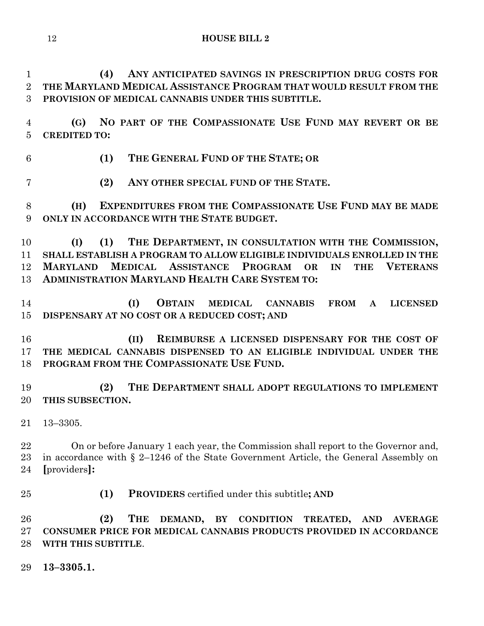**(4) ANY ANTICIPATED SAVINGS IN PRESCRIPTION DRUG COSTS FOR THE MARYLAND MEDICAL ASSISTANCE PROGRAM THAT WOULD RESULT FROM THE PROVISION OF MEDICAL CANNABIS UNDER THIS SUBTITLE.**

 **(G) NO PART OF THE COMPASSIONATE USE FUND MAY REVERT OR BE CREDITED TO:**

- **(1) THE GENERAL FUND OF THE STATE; OR**
- **(2) ANY OTHER SPECIAL FUND OF THE STATE.**

**(H) EXPENDITURES FROM THE COMPASSIONATE USE FUND MAY BE MADE ONLY IN ACCORDANCE WITH THE STATE BUDGET.**

 **(I) (1) THE DEPARTMENT, IN CONSULTATION WITH THE COMMISSION, SHALL ESTABLISH A PROGRAM TO ALLOW ELIGIBLE INDIVIDUALS ENROLLED IN THE MARYLAND MEDICAL ASSISTANCE PROGRAM OR IN THE VETERANS ADMINISTRATION MARYLAND HEALTH CARE SYSTEM TO:**

 **(I) OBTAIN MEDICAL CANNABIS FROM A LICENSED DISPENSARY AT NO COST OR A REDUCED COST; AND**

 **(II) REIMBURSE A LICENSED DISPENSARY FOR THE COST OF THE MEDICAL CANNABIS DISPENSED TO AN ELIGIBLE INDIVIDUAL UNDER THE PROGRAM FROM THE COMPASSIONATE USE FUND.**

 **(2) THE DEPARTMENT SHALL ADOPT REGULATIONS TO IMPLEMENT THIS SUBSECTION.**

13–3305.

 On or before January 1 each year, the Commission shall report to the Governor and, in accordance with § 2–1246 of the State Government Article, the General Assembly on **[**providers**]:**

**(1) PROVIDERS** certified under this subtitle**; AND**

 **(2) THE DEMAND, BY CONDITION TREATED, AND AVERAGE CONSUMER PRICE FOR MEDICAL CANNABIS PRODUCTS PROVIDED IN ACCORDANCE WITH THIS SUBTITLE**.

**13–3305.1.**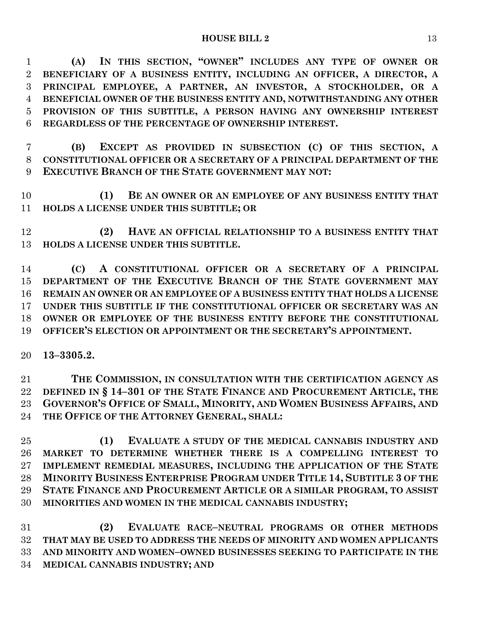**(A) IN THIS SECTION, "OWNER" INCLUDES ANY TYPE OF OWNER OR BENEFICIARY OF A BUSINESS ENTITY, INCLUDING AN OFFICER, A DIRECTOR, A PRINCIPAL EMPLOYEE, A PARTNER, AN INVESTOR, A STOCKHOLDER, OR A BENEFICIAL OWNER OF THE BUSINESS ENTITY AND, NOTWITHSTANDING ANY OTHER PROVISION OF THIS SUBTITLE, A PERSON HAVING ANY OWNERSHIP INTEREST REGARDLESS OF THE PERCENTAGE OF OWNERSHIP INTEREST.**

 **(B) EXCEPT AS PROVIDED IN SUBSECTION (C) OF THIS SECTION, A CONSTITUTIONAL OFFICER OR A SECRETARY OF A PRINCIPAL DEPARTMENT OF THE EXECUTIVE BRANCH OF THE STATE GOVERNMENT MAY NOT:**

 **(1) BE AN OWNER OR AN EMPLOYEE OF ANY BUSINESS ENTITY THAT HOLDS A LICENSE UNDER THIS SUBTITLE; OR**

 **(2) HAVE AN OFFICIAL RELATIONSHIP TO A BUSINESS ENTITY THAT HOLDS A LICENSE UNDER THIS SUBTITLE.**

 **(C) A CONSTITUTIONAL OFFICER OR A SECRETARY OF A PRINCIPAL DEPARTMENT OF THE EXECUTIVE BRANCH OF THE STATE GOVERNMENT MAY REMAIN AN OWNER OR AN EMPLOYEE OF A BUSINESS ENTITY THAT HOLDS A LICENSE UNDER THIS SUBTITLE IF THE CONSTITUTIONAL OFFICER OR SECRETARY WAS AN OWNER OR EMPLOYEE OF THE BUSINESS ENTITY BEFORE THE CONSTITUTIONAL OFFICER'S ELECTION OR APPOINTMENT OR THE SECRETARY'S APPOINTMENT.**

**13–3305.2.**

 **THE COMMISSION, IN CONSULTATION WITH THE CERTIFICATION AGENCY AS DEFINED IN § 14–301 OF THE STATE FINANCE AND PROCUREMENT ARTICLE, THE GOVERNOR'S OFFICE OF SMALL, MINORITY, AND WOMEN BUSINESS AFFAIRS, AND THE OFFICE OF THE ATTORNEY GENERAL, SHALL:**

 **(1) EVALUATE A STUDY OF THE MEDICAL CANNABIS INDUSTRY AND MARKET TO DETERMINE WHETHER THERE IS A COMPELLING INTEREST TO IMPLEMENT REMEDIAL MEASURES, INCLUDING THE APPLICATION OF THE STATE MINORITY BUSINESS ENTERPRISE PROGRAM UNDER TITLE 14, SUBTITLE 3 OF THE STATE FINANCE AND PROCUREMENT ARTICLE OR A SIMILAR PROGRAM, TO ASSIST MINORITIES AND WOMEN IN THE MEDICAL CANNABIS INDUSTRY;**

 **(2) EVALUATE RACE–NEUTRAL PROGRAMS OR OTHER METHODS THAT MAY BE USED TO ADDRESS THE NEEDS OF MINORITY AND WOMEN APPLICANTS AND MINORITY AND WOMEN–OWNED BUSINESSES SEEKING TO PARTICIPATE IN THE MEDICAL CANNABIS INDUSTRY; AND**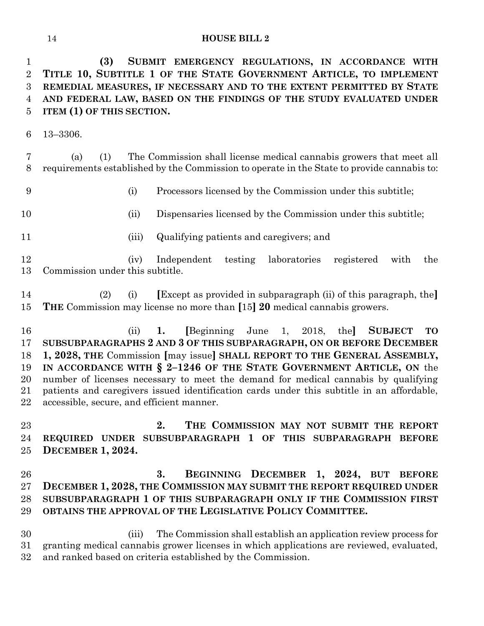**(3) SUBMIT EMERGENCY REGULATIONS, IN ACCORDANCE WITH TITLE 10, SUBTITLE 1 OF THE STATE GOVERNMENT ARTICLE, TO IMPLEMENT REMEDIAL MEASURES, IF NECESSARY AND TO THE EXTENT PERMITTED BY STATE AND FEDERAL LAW, BASED ON THE FINDINGS OF THE STUDY EVALUATED UNDER ITEM (1) OF THIS SECTION.**

13–3306.

 (a) (1) The Commission shall license medical cannabis growers that meet all requirements established by the Commission to operate in the State to provide cannabis to:

(i) Processors licensed by the Commission under this subtitle;

- 
- (ii) Dispensaries licensed by the Commission under this subtitle;
- 
- (iii) Qualifying patients and caregivers; and

 (iv) Independent testing laboratories registered with the Commission under this subtitle.

 (2) (i) **[**Except as provided in subparagraph (ii) of this paragraph, the**] THE** Commission may license no more than **[**15**] 20** medical cannabis growers.

 (ii) **1. [**Beginning June 1, 2018, the**] SUBJECT TO SUBSUBPARAGRAPHS 2 AND 3 OF THIS SUBPARAGRAPH, ON OR BEFORE DECEMBER 1, 2028, THE** Commission **[**may issue**] SHALL REPORT TO THE GENERAL ASSEMBLY, IN ACCORDANCE WITH § 2–1246 OF THE STATE GOVERNMENT ARTICLE, ON** the number of licenses necessary to meet the demand for medical cannabis by qualifying patients and caregivers issued identification cards under this subtitle in an affordable, accessible, secure, and efficient manner.

 **2. THE COMMISSION MAY NOT SUBMIT THE REPORT REQUIRED UNDER SUBSUBPARAGRAPH 1 OF THIS SUBPARAGRAPH BEFORE DECEMBER 1, 2024.**

 **3. BEGINNING DECEMBER 1, 2024, BUT BEFORE DECEMBER 1, 2028, THE COMMISSION MAY SUBMIT THE REPORT REQUIRED UNDER SUBSUBPARAGRAPH 1 OF THIS SUBPARAGRAPH ONLY IF THE COMMISSION FIRST OBTAINS THE APPROVAL OF THE LEGISLATIVE POLICY COMMITTEE.**

 (iii) The Commission shall establish an application review process for granting medical cannabis grower licenses in which applications are reviewed, evaluated, and ranked based on criteria established by the Commission.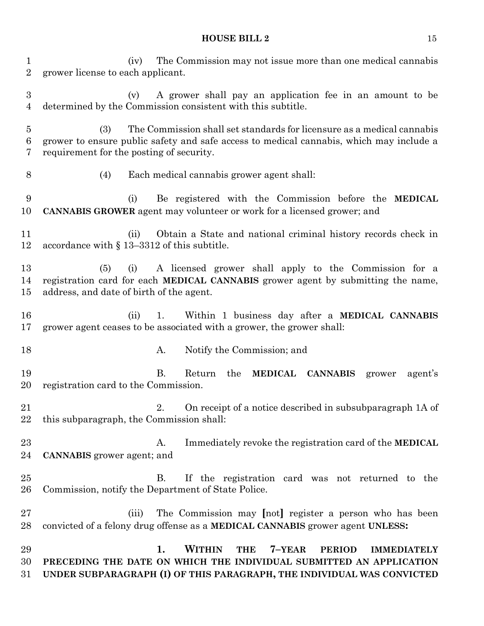(iv) The Commission may not issue more than one medical cannabis grower license to each applicant. (v) A grower shall pay an application fee in an amount to be determined by the Commission consistent with this subtitle. (3) The Commission shall set standards for licensure as a medical cannabis grower to ensure public safety and safe access to medical cannabis, which may include a requirement for the posting of security. (4) Each medical cannabis grower agent shall: (i) Be registered with the Commission before the **MEDICAL CANNABIS GROWER** agent may volunteer or work for a licensed grower; and (ii) Obtain a State and national criminal history records check in accordance with § 13–3312 of this subtitle. (5) (i) A licensed grower shall apply to the Commission for a registration card for each **MEDICAL CANNABIS** grower agent by submitting the name, address, and date of birth of the agent. (ii) 1. Within 1 business day after a **MEDICAL CANNABIS** grower agent ceases to be associated with a grower, the grower shall: 18 A. Notify the Commission; and B. Return the **MEDICAL CANNABIS** grower agent's registration card to the Commission. 2. On receipt of a notice described in subsubparagraph 1A of this subparagraph, the Commission shall: A. Immediately revoke the registration card of the **MEDICAL CANNABIS** grower agent; and B. If the registration card was not returned to the Commission, notify the Department of State Police. (iii) The Commission may **[**not**]** register a person who has been convicted of a felony drug offense as a **MEDICAL CANNABIS** grower agent **UNLESS: 1. WITHIN THE 7–YEAR PERIOD IMMEDIATELY PRECEDING THE DATE ON WHICH THE INDIVIDUAL SUBMITTED AN APPLICATION UNDER SUBPARAGRAPH (I) OF THIS PARAGRAPH, THE INDIVIDUAL WAS CONVICTED**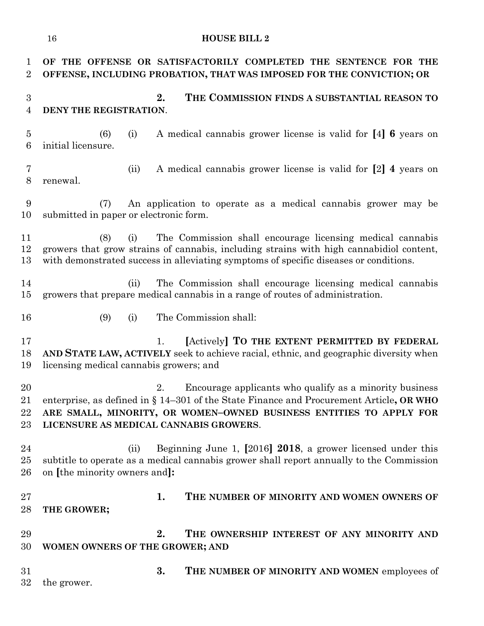**OF THE OFFENSE OR SATISFACTORILY COMPLETED THE SENTENCE FOR THE OFFENSE, INCLUDING PROBATION, THAT WAS IMPOSED FOR THE CONVICTION; OR 2. THE COMMISSION FINDS A SUBSTANTIAL REASON TO DENY THE REGISTRATION**. (6) (i) A medical cannabis grower license is valid for **[**4**] 6** years on initial licensure. (ii) A medical cannabis grower license is valid for **[**2**] 4** years on renewal. (7) An application to operate as a medical cannabis grower may be submitted in paper or electronic form. (8) (i) The Commission shall encourage licensing medical cannabis growers that grow strains of cannabis, including strains with high cannabidiol content, with demonstrated success in alleviating symptoms of specific diseases or conditions. (ii) The Commission shall encourage licensing medical cannabis growers that prepare medical cannabis in a range of routes of administration. (9) (i) The Commission shall: 1. **[**Actively**] TO THE EXTENT PERMITTED BY FEDERAL AND STATE LAW, ACTIVELY** seek to achieve racial, ethnic, and geographic diversity when licensing medical cannabis growers; and 2. Encourage applicants who qualify as a minority business enterprise, as defined in § 14–301 of the State Finance and Procurement Article**, OR WHO ARE SMALL, MINORITY, OR WOMEN–OWNED BUSINESS ENTITIES TO APPLY FOR LICENSURE AS MEDICAL CANNABIS GROWERS**. (ii) Beginning June 1, **[**2016**] 2018**, a grower licensed under this subtitle to operate as a medical cannabis grower shall report annually to the Commission on **[**the minority owners and**]: 1. THE NUMBER OF MINORITY AND WOMEN OWNERS OF THE GROWER; 2. THE OWNERSHIP INTEREST OF ANY MINORITY AND WOMEN OWNERS OF THE GROWER; AND 3. THE NUMBER OF MINORITY AND WOMEN** employees of the grower.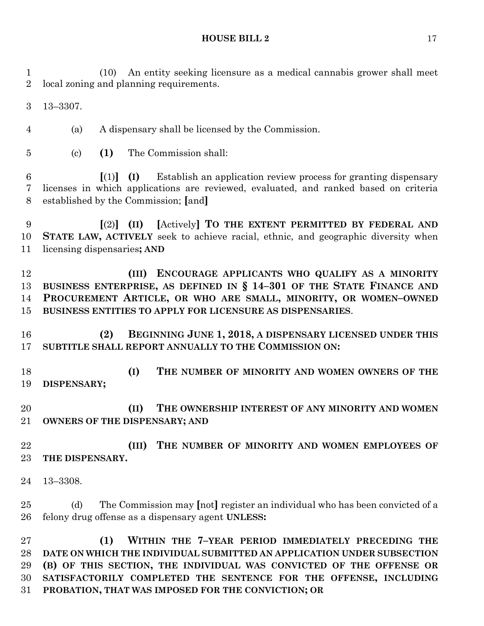(10) An entity seeking licensure as a medical cannabis grower shall meet local zoning and planning requirements.

13–3307.

(a) A dispensary shall be licensed by the Commission.

(c) **(1)** The Commission shall:

 **[**(1)**] (I)** Establish an application review process for granting dispensary licenses in which applications are reviewed, evaluated, and ranked based on criteria established by the Commission; **[**and**]**

 **[**(2)**] (II) [**Actively**] TO THE EXTENT PERMITTED BY FEDERAL AND STATE LAW, ACTIVELY** seek to achieve racial, ethnic, and geographic diversity when licensing dispensaries**; AND**

 **(III) ENCOURAGE APPLICANTS WHO QUALIFY AS A MINORITY BUSINESS ENTERPRISE, AS DEFINED IN § 14–301 OF THE STATE FINANCE AND PROCUREMENT ARTICLE, OR WHO ARE SMALL, MINORITY, OR WOMEN–OWNED BUSINESS ENTITIES TO APPLY FOR LICENSURE AS DISPENSARIES**.

 **(2) BEGINNING JUNE 1, 2018, A DISPENSARY LICENSED UNDER THIS SUBTITLE SHALL REPORT ANNUALLY TO THE COMMISSION ON:**

 **(I) THE NUMBER OF MINORITY AND WOMEN OWNERS OF THE DISPENSARY;**

 **(II) THE OWNERSHIP INTEREST OF ANY MINORITY AND WOMEN OWNERS OF THE DISPENSARY; AND**

 **(III) THE NUMBER OF MINORITY AND WOMEN EMPLOYEES OF THE DISPENSARY.**

13–3308.

 (d) The Commission may **[**not**]** register an individual who has been convicted of a felony drug offense as a dispensary agent **UNLESS:**

 **(1) WITHIN THE 7–YEAR PERIOD IMMEDIATELY PRECEDING THE DATE ON WHICH THE INDIVIDUAL SUBMITTED AN APPLICATION UNDER SUBSECTION (B) OF THIS SECTION, THE INDIVIDUAL WAS CONVICTED OF THE OFFENSE OR SATISFACTORILY COMPLETED THE SENTENCE FOR THE OFFENSE, INCLUDING PROBATION, THAT WAS IMPOSED FOR THE CONVICTION; OR**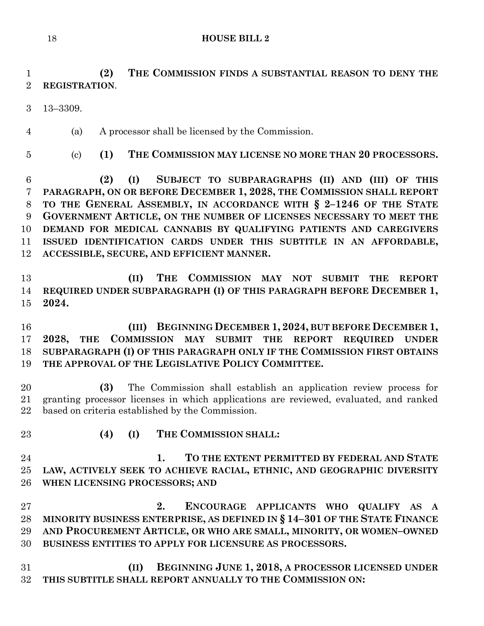# **(2) THE COMMISSION FINDS A SUBSTANTIAL REASON TO DENY THE REGISTRATION**.

- 13–3309.
- (a) A processor shall be licensed by the Commission.
- 

(c) **(1) THE COMMISSION MAY LICENSE NO MORE THAN 20 PROCESSORS.**

 **(2) (I) SUBJECT TO SUBPARAGRAPHS (II) AND (III) OF THIS PARAGRAPH, ON OR BEFORE DECEMBER 1, 2028, THE COMMISSION SHALL REPORT TO THE GENERAL ASSEMBLY, IN ACCORDANCE WITH § 2–1246 OF THE STATE GOVERNMENT ARTICLE, ON THE NUMBER OF LICENSES NECESSARY TO MEET THE DEMAND FOR MEDICAL CANNABIS BY QUALIFYING PATIENTS AND CAREGIVERS ISSUED IDENTIFICATION CARDS UNDER THIS SUBTITLE IN AN AFFORDABLE, ACCESSIBLE, SECURE, AND EFFICIENT MANNER.**

 **(II) THE COMMISSION MAY NOT SUBMIT THE REPORT REQUIRED UNDER SUBPARAGRAPH (I) OF THIS PARAGRAPH BEFORE DECEMBER 1, 2024.**

 **(III) BEGINNING DECEMBER 1, 2024, BUT BEFORE DECEMBER 1, 2028, THE COMMISSION MAY SUBMIT THE REPORT REQUIRED UNDER SUBPARAGRAPH (I) OF THIS PARAGRAPH ONLY IF THE COMMISSION FIRST OBTAINS THE APPROVAL OF THE LEGISLATIVE POLICY COMMITTEE.**

 **(3)** The Commission shall establish an application review process for granting processor licenses in which applications are reviewed, evaluated, and ranked based on criteria established by the Commission.

- 
- **(4) (I) THE COMMISSION SHALL:**

 **1. TO THE EXTENT PERMITTED BY FEDERAL AND STATE LAW, ACTIVELY SEEK TO ACHIEVE RACIAL, ETHNIC, AND GEOGRAPHIC DIVERSITY WHEN LICENSING PROCESSORS; AND**

 **2. ENCOURAGE APPLICANTS WHO QUALIFY AS A MINORITY BUSINESS ENTERPRISE, AS DEFINED IN § 14–301 OF THE STATE FINANCE AND PROCUREMENT ARTICLE, OR WHO ARE SMALL, MINORITY, OR WOMEN–OWNED BUSINESS ENTITIES TO APPLY FOR LICENSURE AS PROCESSORS.**

 **(II) BEGINNING JUNE 1, 2018, A PROCESSOR LICENSED UNDER THIS SUBTITLE SHALL REPORT ANNUALLY TO THE COMMISSION ON:**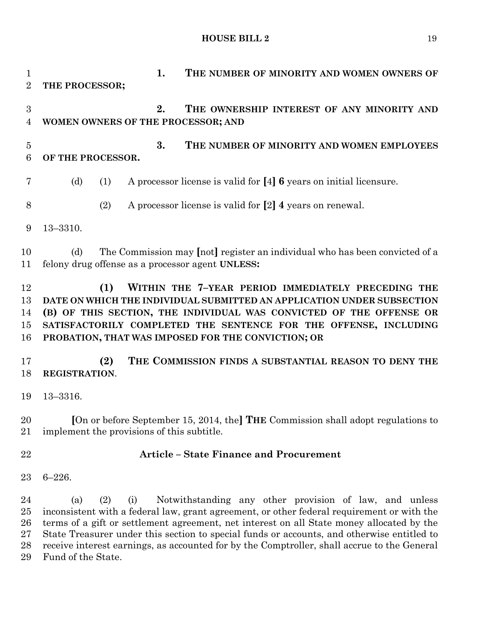**1. THE NUMBER OF MINORITY AND WOMEN OWNERS OF THE PROCESSOR; 2. THE OWNERSHIP INTEREST OF ANY MINORITY AND WOMEN OWNERS OF THE PROCESSOR; AND 3. THE NUMBER OF MINORITY AND WOMEN EMPLOYEES OF THE PROCESSOR.** (d) (1) A processor license is valid for **[**4**] 6** years on initial licensure. (2) A processor license is valid for **[**2**] 4** years on renewal. 13–3310. (d) The Commission may **[**not**]** register an individual who has been convicted of a felony drug offense as a processor agent **UNLESS: (1) WITHIN THE 7–YEAR PERIOD IMMEDIATELY PRECEDING THE DATE ON WHICH THE INDIVIDUAL SUBMITTED AN APPLICATION UNDER SUBSECTION (B) OF THIS SECTION, THE INDIVIDUAL WAS CONVICTED OF THE OFFENSE OR SATISFACTORILY COMPLETED THE SENTENCE FOR THE OFFENSE, INCLUDING PROBATION, THAT WAS IMPOSED FOR THE CONVICTION; OR (2) THE COMMISSION FINDS A SUBSTANTIAL REASON TO DENY THE REGISTRATION**. 13–3316. **[**On or before September 15, 2014, the**] THE** Commission shall adopt regulations to implement the provisions of this subtitle. **Article – State Finance and Procurement** 6–226. (a) (2) (i) Notwithstanding any other provision of law, and unless inconsistent with a federal law, grant agreement, or other federal requirement or with the terms of a gift or settlement agreement, net interest on all State money allocated by the State Treasurer under this section to special funds or accounts, and otherwise entitled to receive interest earnings, as accounted for by the Comptroller, shall accrue to the General Fund of the State.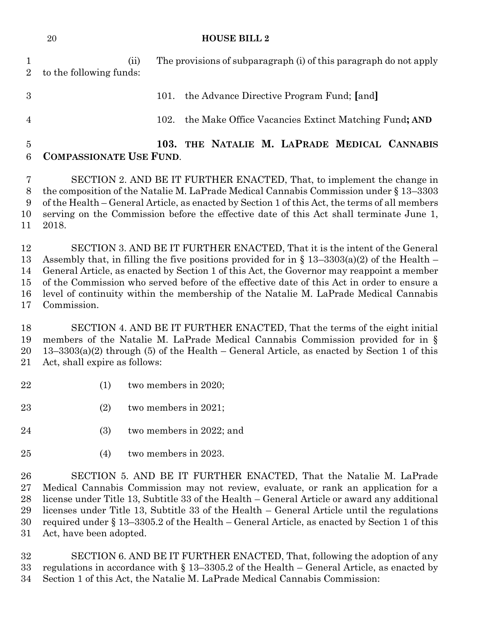| 20 | <b>HOUSE BILL 2</b> |
|----|---------------------|
|    |                     |

 (ii) The provisions of subparagraph (i) of this paragraph do not apply to the following funds:

 101. the Advance Directive Program Fund; **[**and**]** 102. the Make Office Vacancies Extinct Matching Fund**; AND**

## **103. THE NATALIE M. LAPRADE MEDICAL CANNABIS COMPASSIONATE USE FUND**.

 SECTION 2. AND BE IT FURTHER ENACTED, That, to implement the change in the composition of the Natalie M. LaPrade Medical Cannabis Commission under § 13–3303 of the Health – General Article, as enacted by Section 1 of this Act, the terms of all members serving on the Commission before the effective date of this Act shall terminate June 1, 2018.

 SECTION 3. AND BE IT FURTHER ENACTED, That it is the intent of the General Assembly that, in filling the five positions provided for in § 13–3303(a)(2) of the Health – General Article, as enacted by Section 1 of this Act, the Governor may reappoint a member of the Commission who served before of the effective date of this Act in order to ensure a level of continuity within the membership of the Natalie M. LaPrade Medical Cannabis Commission.

 SECTION 4. AND BE IT FURTHER ENACTED, That the terms of the eight initial members of the Natalie M. LaPrade Medical Cannabis Commission provided for in § 13–3303(a)(2) through (5) of the Health – General Article, as enacted by Section 1 of this Act, shall expire as follows:

- (1) two members in 2020;
- (2) two members in 2021;
- (3) two members in 2022; and
- (4) two members in 2023.

 SECTION 5. AND BE IT FURTHER ENACTED, That the Natalie M. LaPrade Medical Cannabis Commission may not review, evaluate, or rank an application for a license under Title 13, Subtitle 33 of the Health – General Article or award any additional licenses under Title 13, Subtitle 33 of the Health – General Article until the regulations required under § 13–3305.2 of the Health – General Article, as enacted by Section 1 of this Act, have been adopted.

 SECTION 6. AND BE IT FURTHER ENACTED, That, following the adoption of any regulations in accordance with § 13–3305.2 of the Health – General Article, as enacted by Section 1 of this Act, the Natalie M. LaPrade Medical Cannabis Commission: